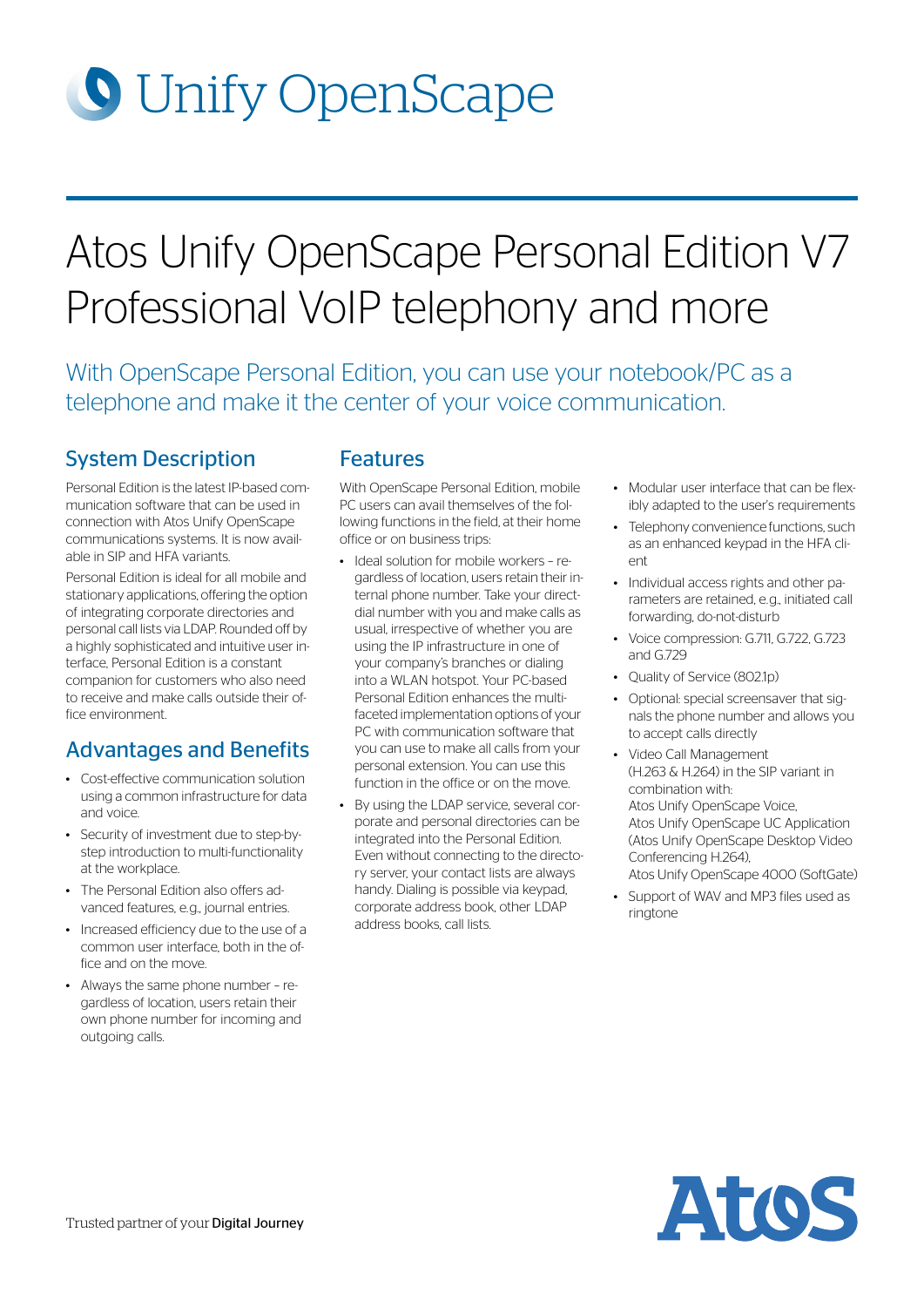# **O** Unify OpenScape

## Atos Unify OpenScape Personal Edition V7 Professional VoIP telephony and more

With OpenScape Personal Edition, you can use your notebook/PC as a telephone and make it the center of your voice communication.

## System Description

Personal Edition is the latest IP-based communication software that can be used in connection with Atos Unify OpenScape communications systems. It is now available in SIP and HFA variants.

Personal Edition is ideal for all mobile and stationary applications, offering the option of integrating corporate directories and personal call lists via LDAP. Rounded off by a highly sophisticated and intuitive user interface, Personal Edition is a constant companion for customers who also need to receive and make calls outside their office environment.

## Advantages and Benefits

- Cost-effective communication solution using a common infrastructure for data and voice.
- Security of investment due to step-bystep introduction to multi-functionality at the workplace.
- The Personal Edition also offers advanced features, e.g., journal entries.
- Increased efficiency due to the use of a common user interface, both in the office and on the move.
- Always the same phone number regardless of location, users retain their own phone number for incoming and outgoing calls.

## Features

With OpenScape Personal Edition, mobile PC users can avail themselves of the following functions in the field, at their home office or on business trips:

- Ideal solution for mobile workers regardless of location, users retain their internal phone number. Take your directdial number with you and make calls as usual, irrespective of whether you are using the IP infrastructure in one of your company's branches or dialing into a WLAN hotspot. Your PC-based Personal Edition enhances the multifaceted implementation options of your PC with communication software that you can use to make all calls from your personal extension. You can use this function in the office or on the move.
- By using the LDAP service, several corporate and personal directories can be integrated into the Personal Edition. Even without connecting to the directory server, your contact lists are always handy. Dialing is possible via keypad, corporate address book, other LDAP address books, call lists.
- Modular user interface that can be flexibly adapted to the user's requirements
- Telephony convenience functions, such as an enhanced keypad in the HFA client
- Individual access rights and other parameters are retained, e.g., initiated call forwarding, do-not-disturb
- Voice compression: G.711, G.722, G.723 and G.729
- Quality of Service (802.1p)
- Optional: special screensaver that signals the phone number and allows you to accept calls directly
- Video Call Management (H.263 & H.264) in the SIP variant in combination with: Atos Unify OpenScape Voice, Atos Unify OpenScape UC Application (Atos Unify OpenScape Desktop Video Conferencing H.264), Atos Unify OpenScape 4000 (SoftGate)
- Support of WAV and MP3 files used as ringtone

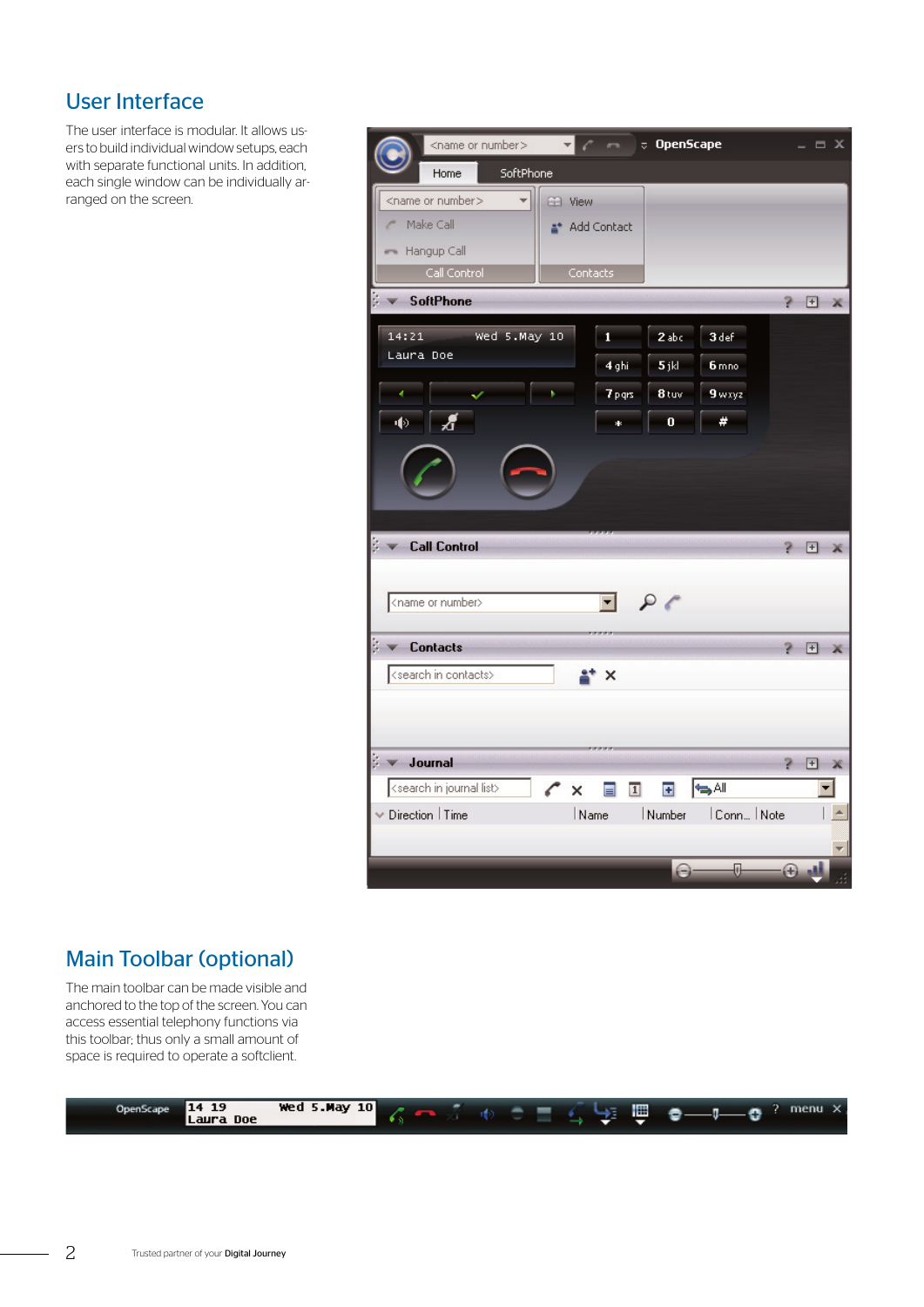## User Interface

The user interface is modular. It allows users to build individual window setups, each with separate functional units. In addition, each single window can be individually arranged on the screen.

| <name number="" or=""></name>              |               |           | <b><i><u>DpenScape</u></i></b> |                     |             |        | $\equiv$ $x$ |
|--------------------------------------------|---------------|-----------|--------------------------------|---------------------|-------------|--------|--------------|
| Home<br>SoftPhone                          |               |           |                                |                     |             |        |              |
| <name number="" or=""></name>              | CD View       |           |                                |                     |             |        |              |
| Make Call                                  | * Add Contact |           |                                |                     |             |        |              |
| Hangup Call                                |               |           |                                |                     |             |        |              |
| Call Control                               | Contacts      |           |                                |                     |             |        |              |
| <b>SoftPhone</b>                           |               |           |                                |                     | 2.          | $\Box$ | х            |
| 14:21<br>Wed 5.May 10                      |               | 1         | 2abc                           | 3 def               |             |        |              |
| Laura Doe                                  |               | 4 ghi     | 5jkl                           | 6 mno               |             |        |              |
| ۹<br>v                                     | k             | 7 p grs   | 8 tuv                          | 9 wxyz              |             |        |              |
| 40<br>Æ                                    |               | $\ddot{}$ | o                              | #                   |             |        |              |
|                                            |               |           |                                |                     |             |        |              |
|                                            |               |           |                                |                     |             |        |              |
|                                            |               |           |                                |                     |             |        |              |
|                                            |               |           |                                |                     |             |        |              |
| <b>Call Control</b>                        |               |           |                                |                     |             | 田      |              |
|                                            |               |           |                                |                     |             |        |              |
| <name number="" or=""></name>              |               | $-96$     |                                |                     |             |        |              |
|                                            |               |           |                                |                     |             |        |              |
| <b>Contacts</b>                            |               |           |                                |                     | P.          | $\Box$ |              |
| <search contacts="" in=""></search>        |               | $\times$  |                                |                     |             |        |              |
|                                            |               |           |                                |                     |             |        |              |
|                                            |               |           |                                |                     |             |        |              |
| Journal                                    |               |           |                                |                     | Þ           | $\Box$ | Ж            |
| <search in="" journal="" list=""></search> | ×             | ∏         | ø                              | SAI                 |             |        |              |
| Direction   Time                           | Name          |           | Number                         | Conn Note           |             |        |              |
|                                            |               |           |                                |                     |             |        |              |
|                                            |               |           | (-)-                           | $\overline{\theta}$ | $\bigoplus$ |        |              |

## Main Toolbar (optional)

The main toolbar can be made visible and anchored to the top of the screen. You can access essential telephony functions via this toolbar; thus only a small amount of space is required to operate a softclient.

| 19<br><b>Wed 5.May 10</b><br>14<br>OpenScape<br>Laura Doe | 僵<br>$\overline{\phantom{0}}$<br>п<br>. .<br>≖<br>v |  |
|-----------------------------------------------------------|-----------------------------------------------------|--|
|-----------------------------------------------------------|-----------------------------------------------------|--|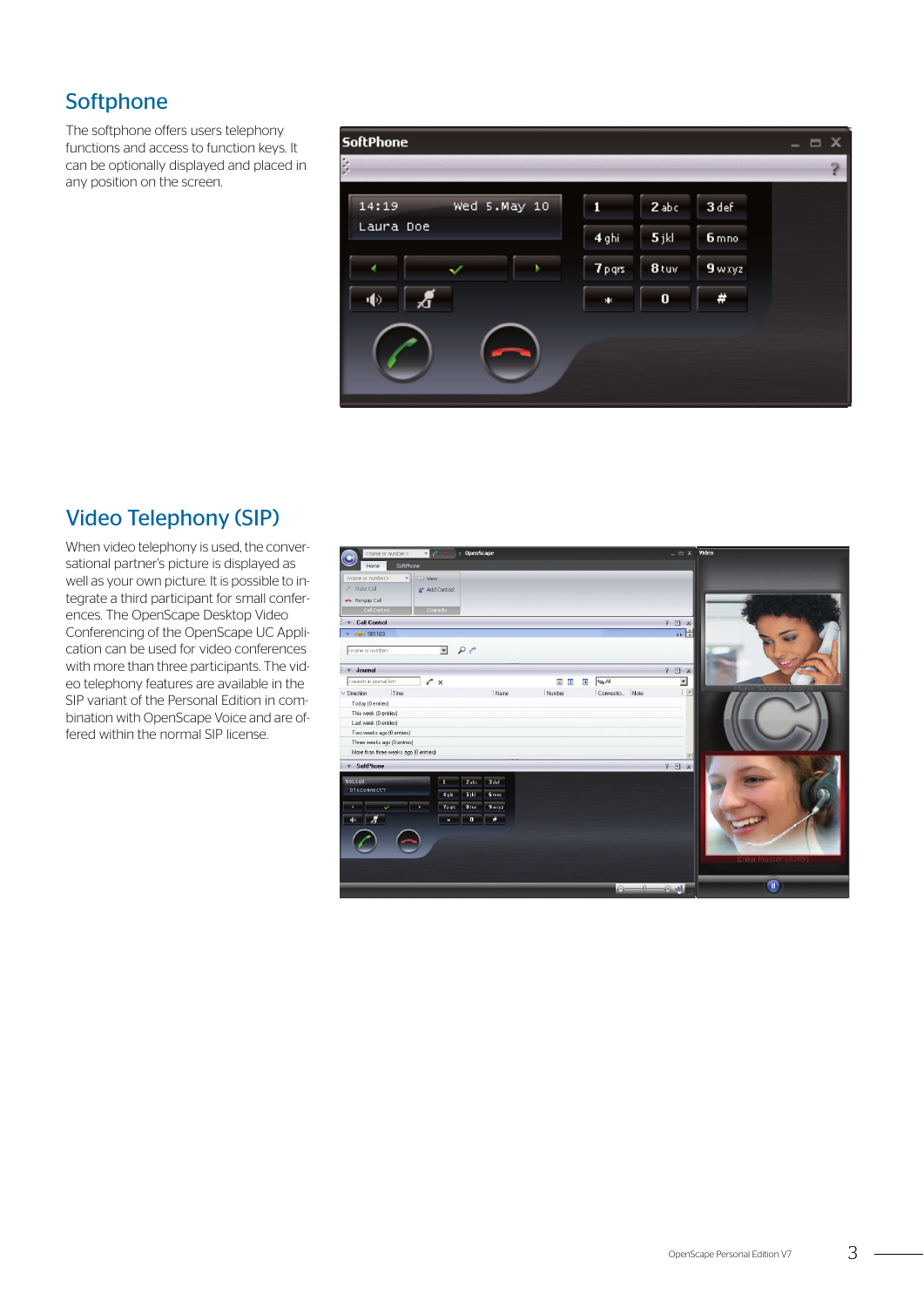## **Softphone**

The softphone offers users telephony functions and access to function keys. It can be optionally displayed and placed in any position on the screen.



## Video Telephony (SIP)

When video telephony is used, the conversational partner's picture is displayed as well as your own picture. It is possible to integrate a third participant for small conferences. The OpenScape Desktop Video Conferencing of the OpenScape UC Application can be used for video conferences with more than three participants. The video telephony features are available in the SIP variant of the Personal Edition in combination with OpenScape Voice and are offered within the normal SIP license.